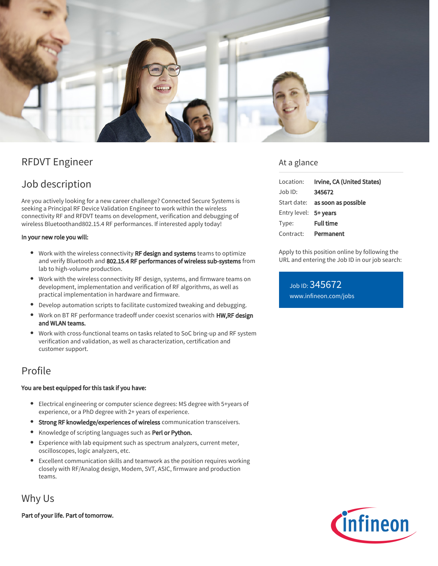

# RFDVT Engineer

# Job description

Are you actively looking for a new career challenge? Connected Secure Systems is seeking a Principal RF Device Validation Engineer to work within the wireless connectivity RF and RFDVT teams on development, verification and debugging of wireless Bluetoothand802.15.4 RF performances. If interested apply today!

#### In your new role you will:

- Work with the wireless connectivity RF design and systems teams to optimize and verify Bluetooth and 802.15.4 RF performances of wireless sub-systems from lab to high-volume production.
- Work with the wireless connectivity RF design, systems, and firmware teams on development, implementation and verification of RF algorithms, as well as practical implementation in hardware and firmware.
- Develop automation scripts to facilitate customized tweaking and debugging.
- Work on BT RF performance tradeoff under coexist scenarios with HW,RF design and WLAN teams.
- Work with cross-functional teams on tasks related to SoC bring-up and RF system  $\bullet$ verification and validation, as well as characterization, certification and customer support.

### Profile

#### You are best equipped for this task if you have:

- Electrical engineering or computer science degrees: MS degree with 5+years of experience, or a PhD degree with 2+ years of experience.
- Strong RF knowledge/experiences of wireless communication transceivers.
- Knowledge of scripting languages such as Perl or Python.
- $\bullet$ Experience with lab equipment such as spectrum analyzers, current meter, oscilloscopes, logic analyzers, etc.
- $\bullet$ Excellent communication skills and teamwork as the position requires working closely with RF/Analog design, Modem, SVT, ASIC, firmware and production teams.

## Why Us

Part of your life. Part of tomorrow.

### At a glance

| Location:             | Irvine, CA (United States)             |
|-----------------------|----------------------------------------|
| $Job$ ID:             | 345672                                 |
|                       | Start date: <b>as soon as possible</b> |
| Entry level: 5+ years |                                        |
| Type:                 | <b>Full time</b>                       |
| Contract:             | Permanent                              |

Apply to this position online by following the URL and entering the Job ID in our job search:

Job ID: 345672 [www.infineon.com/jobs](https://www.infineon.com/jobs)